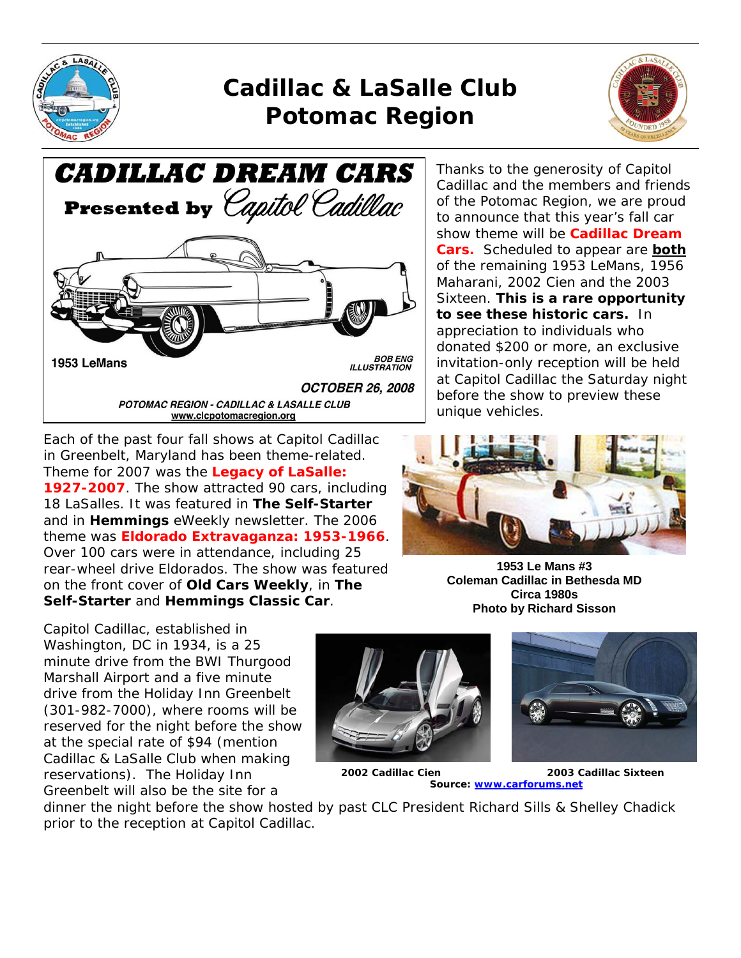

# *Cadillac & LaSalle Club Potomac Region*



**CADILLAC DREAM CARS** Presented by Capitol Cadillac **BOB ENG** 1953 LeMans **ILLUSTRATION OCTOBER 26, 2008** POTOMAC REGION - CADILLAC & LASALLE CLUB www.clcpotomacregion.org

Each of the past four fall shows at Capitol Cadillac in Greenbelt, Maryland has been theme-related. Theme for 2007 was the *Legacy of LaSalle: 1927-2007*. The show attracted 90 cars, including 18 LaSalles. It was featured in *The Self-Starter* and in *Hemmings* eWeekly newsletter. The 2006 theme was *Eldorado Extravaganza: 1953-1966*. Over 100 cars were in attendance, including 25 rear-wheel drive Eldorados. The show was featured on the front cover of *Old Cars Weekly*, in *The Self-Starter* and *Hemmings Classic Car*.

Thanks to the generosity of Capitol Cadillac and the members and friends of the Potomac Region, we are proud to announce that this year's fall car show theme will be *Cadillac Dream Cars.* Scheduled to appear are **both** of the remaining 1953 LeMans, 1956 Maharani, 2002 Cien and the 2003 Sixteen. **This is a rare opportunity to see these historic cars.** In appreciation to individuals who donated \$200 or more, an exclusive invitation-only reception will be held at Capitol Cadillac the Saturday night before the show to preview these unique vehicles.



**1953 Le Mans #3 Coleman Cadillac in Bethesda MD Circa 1980s Photo by Richard Sisson** 

Capitol Cadillac, established in Washington, DC in 1934, is a 25 minute drive from the BWI Thurgood Marshall Airport and a five minute drive from the Holiday Inn Greenbelt (301-982-7000), where rooms will be reserved for the night before the show at the special rate of \$94 (mention Cadillac & LaSalle Club when making reservations). The Holiday Inn Greenbelt will also be the site for a







 **2002 Cadillac Cien 2003 Cadillac Sixteen Source: www.carforums.net**

dinner the night before the show hosted by past CLC President Richard Sills & Shelley Chadick prior to the reception at Capitol Cadillac.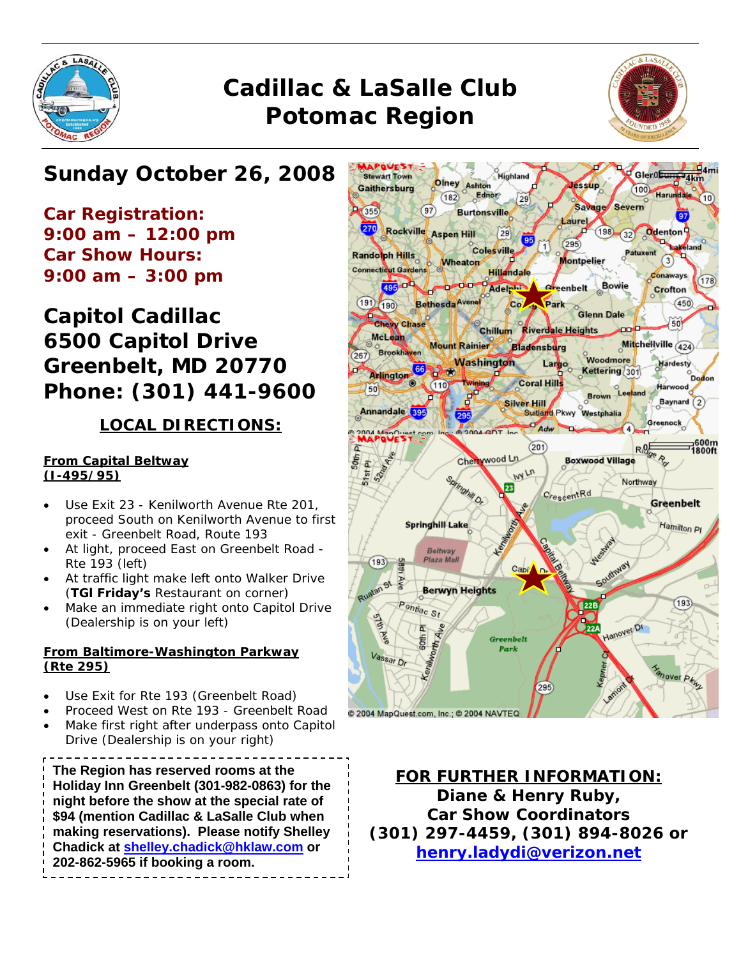

# *Cadillac & LaSalle Club Potomac Region*



## *Sunday October 26, 2008*

*Car Registration: 9:00 am – 12:00 pm Car Show Hours: 9:00 am – 3:00 pm* 

## *Capitol Cadillac 6500 Capitol Drive Greenbelt, MD 20770 Phone: (301) 441-9600*

### **LOCAL DIRECTIONS:**

#### **From Capital Beltway (I-495/95)**

- Use Exit 23 Kenilworth Avenue Rte 201, proceed South on Kenilworth Avenue to first exit - Greenbelt Road, Route 193
- At light, proceed East on Greenbelt Road Rte 193 (left)
- At traffic light make left onto Walker Drive (*TGl Friday's* Restaurant on corner)
- Make an immediate right onto Capitol Drive (Dealership is on your left)

#### **From Baltimore-Washington Parkway (Rte 295)**

- Use Exit for Rte 193 (Greenbelt Road)
- Proceed West on Rte 193 Greenbelt Road
- Make first right after underpass onto Capitol Drive (Dealership is on your right)

**The Region has reserved rooms at the Holiday Inn Greenbelt (301-982-0863) for the night before the show at the special rate of \$94 (mention Cadillac & LaSalle Club when making reservations). Please notify Shelley Chadick at shelley.chadick@hklaw.com or 202-862-5965 if booking a room.** 



**FOR FURTHER INFORMATION: Diane & Henry Ruby, Car Show Coordinators (301) 297-4459, (301) 894-8026 or henry.ladydi@verizon.net**